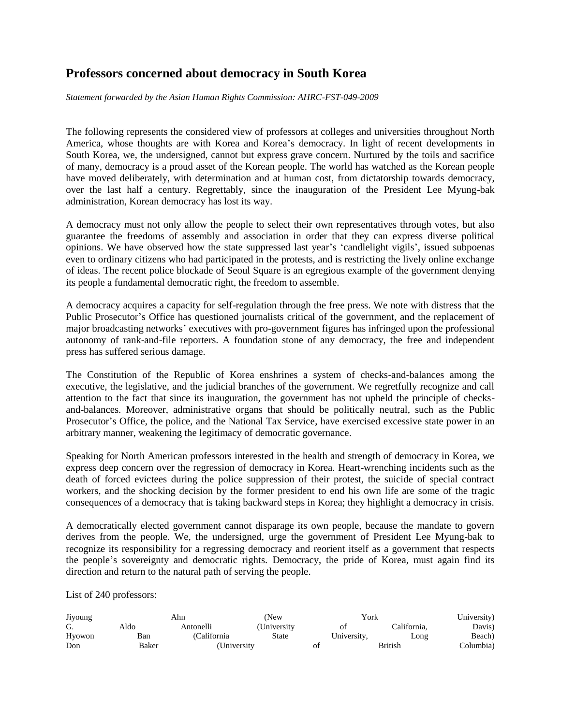## **Professors concerned about democracy in South Korea**

*Statement forwarded by the Asian Human Rights Commission: AHRC-FST-049-2009*

The following represents the considered view of professors at colleges and universities throughout North America, whose thoughts are with Korea and Korea's democracy. In light of recent developments in South Korea, we, the undersigned, cannot but express grave concern. Nurtured by the toils and sacrifice of many, democracy is a proud asset of the Korean people. The world has watched as the Korean people have moved deliberately, with determination and at human cost, from dictatorship towards democracy, over the last half a century. Regrettably, since the inauguration of the President Lee Myung-bak administration, Korean democracy has lost its way.

A democracy must not only allow the people to select their own representatives through votes, but also guarantee the freedoms of assembly and association in order that they can express diverse political opinions. We have observed how the state suppressed last year's 'candlelight vigils', issued subpoenas even to ordinary citizens who had participated in the protests, and is restricting the lively online exchange of ideas. The recent police blockade of Seoul Square is an egregious example of the government denying its people a fundamental democratic right, the freedom to assemble.

A democracy acquires a capacity for self-regulation through the free press. We note with distress that the Public Prosecutor's Office has questioned journalists critical of the government, and the replacement of major broadcasting networks' executives with pro-government figures has infringed upon the professional autonomy of rank-and-file reporters. A foundation stone of any democracy, the free and independent press has suffered serious damage.

The Constitution of the Republic of Korea enshrines a system of checks-and-balances among the executive, the legislative, and the judicial branches of the government. We regretfully recognize and call attention to the fact that since its inauguration, the government has not upheld the principle of checksand-balances. Moreover, administrative organs that should be politically neutral, such as the Public Prosecutor's Office, the police, and the National Tax Service, have exercised excessive state power in an arbitrary manner, weakening the legitimacy of democratic governance.

Speaking for North American professors interested in the health and strength of democracy in Korea, we express deep concern over the regression of democracy in Korea. Heart-wrenching incidents such as the death of forced evictees during the police suppression of their protest, the suicide of special contract workers, and the shocking decision by the former president to end his own life are some of the tragic consequences of a democracy that is taking backward steps in Korea; they highlight a democracy in crisis.

A democratically elected government cannot disparage its own people, because the mandate to govern derives from the people. We, the undersigned, urge the government of President Lee Myung-bak to recognize its responsibility for a regressing democracy and reorient itself as a government that respects the people's sovereignty and democratic rights. Democracy, the pride of Korea, must again find its direction and return to the natural path of serving the people.

List of 240 professors:

| Jiyoung | Ahn   |              | (New        |  | York        | University) |           |
|---------|-------|--------------|-------------|--|-------------|-------------|-----------|
| G.      | Aldo  | Antonelli    | (University |  | Οİ          | California. | Davis)    |
| Hyowon  | Ban   | (California) | State       |  | University, | Long        | Beach)    |
| Don     | Baker | (University  |             |  | British     |             | Columbia) |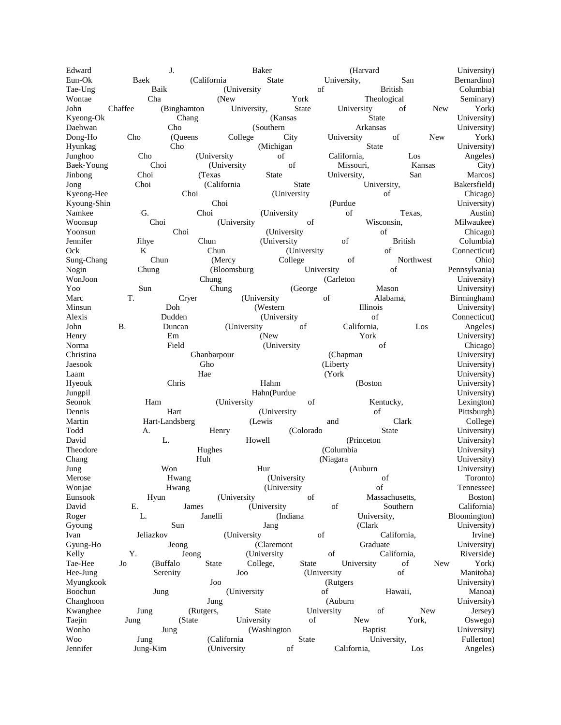Edward J. J. Baker (Harvard University) Eun-Ok Baek (California State University, San Bernardino) Tae-Ung Baik (University of British Columbia) Wontae Cha (New York Theological Seminary) John Chaffee (Binghamton University, State University of New York) Kyeong-Ok Chang (Kansas State University) Daehwan Cho (Southern Arkansas University) Dong-Ho Cho (Queens College City University of New York) Hyunkag Cho (Michigan State University) Junghoo Cho (University of California, Los Angeles) Baek-Young Choi (University of Missouri, Kansas City) Jinbong Choi (Texas State University, San Marcos) Jong Choi (California State University, Bakersfield) Kyeong-Hee Choi (University of Chicago) Kyoung-Shin Choi Choi (Purdue University) Namkee G. Choi (University of Texas, Austin) Woonsup Choi (University of Wisconsin, Milwaukee) Yoonsun Choi (University of Chicago) Jennifer Jihye Chun (University of British Columbia) Ock K Chun (University of Connecticut) Sung-Chang Chun (Mercy College of Northwest Ohio) Nogin Chung (Bloomsburg University of Pennsylvania)<br>
WonJoon University Chung (Carleton University) WonJoon Chung Chung (Carleton University) Yoo Sun Chung (George Mason University) Marc T. Cryer (University of Alabama, Birmingham) Minsun Doh (Western Illinois University) Alexis Dudden (University of Connecticut) John B. Duncan (University of California, Los Angeles) Henry Em (New York Virtuesity) Norma Field Field (University of Chicago) Christina Ghanbarpour (Chapman University) Jaesook Gho Gho (Liberty Windows University) Laam Hae Hae (York Virtual University) Hyeouk Chris Hahm (Boston University) Jungpil Channel Hahn(Purdue Channel Hahn(Purdue Channel University) Seonok Ham (University of Kentucky, Lexington) Dennis Hart (University of Pittsburgh) Martin Hart-Landsberg (Lewis and Clark College) Todd A. Henry (Colorado State University) David L. L. Howell (Princeton University) Theodore **Hughes** Hughes (Columbia University) Chang Chang Huh Huh (Niagara Chang University) Jung Won Hur (Auburn University) Merose **H**wang (University of Toronto) Wonjae Hwang (University of Tennessee) Eunsook Hyun (University of Massachusetts, Boston) David E. James (University of Southern California) Roger L. Janelli (Indiana University, Bloomington) Gyoung Sun Sun Jang (Clark University) Ivan Jeliazkov (University of California, Irvine) Gyung-Ho Jeong (Claremont Graduate University) Kelly Y. Jeong (University of California, Riverside) Tae-Hee Jo (Buffalo State College, State University of New York) Hee-Jung Serenity Joo (University of Manitoba) Myungkook Joo Joo (Rutgers Senator University) Boochun Jung (University of Hawaii, Manoa) Changhoon Jung Jung (Auburn Websites) University) Kwanghee Jung (Rutgers, State University of New Jersey) Taejin Jung (State University of New York, Oswego) Wonho Jung (Washington Baptist University)<br>
Woo Jung (California State University, Fullerton) Woo Jung (California State University, Fullerton) Jennifer Jung-Kim (University of California, Los Angeles)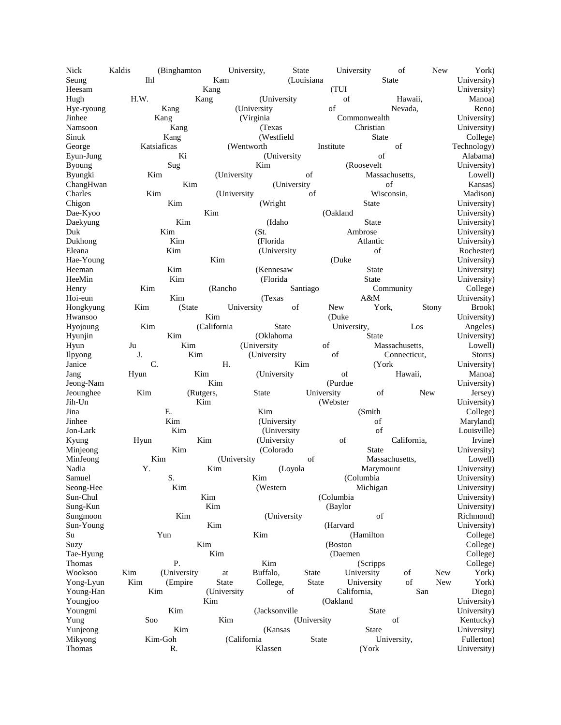| Nick          | Kaldis       | (Binghamton |              | University,    | <b>State</b> |              | University  |                | of             |       | New        | York)       |
|---------------|--------------|-------------|--------------|----------------|--------------|--------------|-------------|----------------|----------------|-------|------------|-------------|
| Seung         | Ihl          |             | Kam          |                | (Louisiana   |              |             | <b>State</b>   |                |       |            | University) |
| Heesam        |              |             | Kang         |                |              | (TUI)        |             |                |                |       |            | University) |
| Hugh          | H.W.<br>Kang |             |              | (University    |              |              | of          |                | Hawaii,        |       |            | Manoa)      |
| Hye-ryoung    |              | Kang        |              | (University)   |              |              | of          |                | Nevada,        |       |            | Reno)       |
| Jinhee        |              | Kang        |              | (Virginia      |              |              |             | Commonwealth   |                |       |            | University) |
| Namsoon       |              | Kang        |              | (Texas         |              |              | Christian   |                |                |       |            | University) |
| Sinuk         |              | Kang        |              | (Westfield     |              | <b>State</b> |             |                |                |       |            | College)    |
| George        |              | Katsiaficas |              | (Wentworth)    |              |              | Institute   |                | of             |       |            | Technology) |
| Eyun-Jung     | Ki           |             |              | (University    |              |              | of          |                |                |       |            | Alabama)    |
| <b>Byoung</b> | Sug          |             |              | Kim            |              |              | (Roosevelt  |                |                |       |            | University) |
| Byungki       | Kim          |             | (University) |                |              | of           |             | Massachusetts, |                |       |            | Lowell)     |
| ChangHwan     |              | Kim         |              |                | (University  |              |             | of             |                |       |            | Kansas)     |
| Charles       | Kim          |             | (University  |                |              | of           |             | Wisconsin,     |                |       |            | Madison)    |
| Chigon        |              | Kim         |              | (Wright)       |              |              |             | <b>State</b>   |                |       |            | University) |
| Dae-Kyoo      |              |             | Kim          |                |              |              | (Oakland    |                |                |       |            | University) |
| Daekyung      |              | Kim         |              | (Idaho         |              |              |             | <b>State</b>   |                |       |            | University) |
| Duk           |              | Kim         |              | (St.           |              |              |             | Ambrose        |                |       |            | University) |
| Dukhong       | Kim          |             |              | (Florida       |              | Atlantic     |             |                |                |       |            | University) |
| Eleana        |              | Kim         |              | (University    |              |              |             | of             |                |       |            | Rochester)  |
| Hae-Young     |              |             | Kim          |                |              |              | (Duke)      |                |                |       |            | University) |
| Heeman        |              | Kim         |              | (Kennesaw      |              |              |             | <b>State</b>   |                |       |            | University) |
| HeeMin        |              | Kim         |              | (Florida       |              |              |             | <b>State</b>   |                |       |            | University) |
| Henry         | Kim          |             | (Rancho      |                | Santiago     |              |             |                | Community      |       |            | College)    |
| Hoi-eun       |              | Kim         |              | (Texas         |              |              |             | A&M            |                |       |            | University) |
| Hongkyung     | Kim          | (State      |              | University     | of           |              | New         | York,          |                | Stony |            | Brook)      |
| Hwansoo       |              |             | Kim          |                |              |              | (Duke)      |                |                |       |            | University) |
| Hyojoung      | Kim          |             | (California  | <b>State</b>   |              |              | University, |                |                | Los   |            | Angeles)    |
| Hyunjin       |              | Kim         |              | (Oklahoma      |              |              |             | State          |                |       |            | University) |
| Hyun          | Ju           | Kim         |              | (University    |              | of           |             |                | Massachusetts, |       |            | Lowell)     |
| Ilpyong       | J.           | Kim         |              | (University    |              |              | of          |                | Connecticut,   |       |            | Storrs)     |
| Janice        | C.           |             | Н.           |                | Kim          |              |             | (York)         |                |       |            | University) |
| Jang          | Hyun         | Kim         |              | (University)   |              |              | of          |                | Hawaii,        |       |            | Manoa)      |
| Jeong-Nam     |              |             | Kim          |                |              |              | (Purdue     |                |                |       |            | University) |
| Jeounghee     | Kim          | (Rutgers,   |              | <b>State</b>   |              | University   |             | of             |                | New   |            | Jersey)     |
| Jih-Un        |              | Kim         |              |                |              |              | (Webster    |                |                |       |            | University) |
| Jina          |              | Е.          |              | Kim            |              |              |             | (Smith         |                |       |            | College)    |
| Jinhee        |              | Kim         |              | (University)   |              |              |             | of             |                |       |            | Maryland)   |
| Jon-Lark      |              | Kim         |              | (University    |              |              |             | of             |                |       |            | Louisville) |
| Kyung         | Hyun         |             | Kim          | (University    |              |              | of          |                | California,    |       |            | Irvine)     |
| Minjeong      |              | Kim         |              | (Colorado      |              |              |             | <b>State</b>   |                |       |            | University) |
| MinJeong      | Kim          |             | (University  |                |              | of           |             | Massachusetts, |                |       |            | Lowell)     |
| Nadia         | Y.           |             | Kim          |                | (Loyola      |              |             | Marymount      |                |       |            | University) |
| Samuel        |              | S.          |              | Kim            |              |              |             | (Columbia      |                |       |            | University) |
| Seong-Hee     |              | Kim         |              | (Western       |              |              |             | Michigan       |                |       |            | University) |
| Sun-Chul      |              |             | Kim          |                |              |              | (Columbia   |                |                |       |            | University) |
| Sung-Kun      |              |             | Kim          |                |              |              | (Baylor     |                |                |       |            | University) |
| Sungmoon      |              | Kim         |              | (University    |              |              |             | of             |                |       |            | Richmond)   |
| Sun-Young     |              |             | Kim          |                |              |              | (Harvard    |                |                |       |            | University) |
| Su            |              | Yun         |              | Kim            |              |              |             | (Hamilton      |                |       |            | College)    |
| Suzy          |              |             | Kim          |                |              |              | (Boston     |                |                |       |            | College)    |
| Tae-Hyung     |              |             | Kim          |                |              |              | (Daemen     |                |                |       |            | College)    |
| Thomas        |              | P.          |              | Kim            |              |              |             | (Scripps)      |                |       |            | College)    |
| Wooksoo       | Kim          | (University | at           | Buffalo,       |              | <b>State</b> |             | University     | of             |       | New        | York)       |
| Yong-Lyun     | Kim          | (Empire     | State        | College,       |              | State        |             | University     | of             |       | <b>New</b> | York)       |
| Young-Han     | Kim          |             | (University  |                | of           |              | California, |                |                | San   |            | Diego)      |
| Youngjoo      |              |             | Kim          |                |              |              | (Oakland    |                |                |       |            | University) |
| Youngmi       |              | Kim         |              | (Jacksonville) |              |              |             | <b>State</b>   |                |       |            | University) |
| Yung          | Soo          |             | Kim          |                |              | (University) |             |                | of             |       |            | Kentucky)   |
| Yunjeong      |              | Kim         |              | (Kansas        |              |              |             | <b>State</b>   |                |       |            | University) |
| Mikyong       |              | Kim-Goh     | (California  |                |              | State        |             |                | University,    |       |            | Fullerton)  |
| Thomas        |              | R.          |              | Klassen        |              |              |             | (York          |                |       |            | University) |
|               |              |             |              |                |              |              |             |                |                |       |            |             |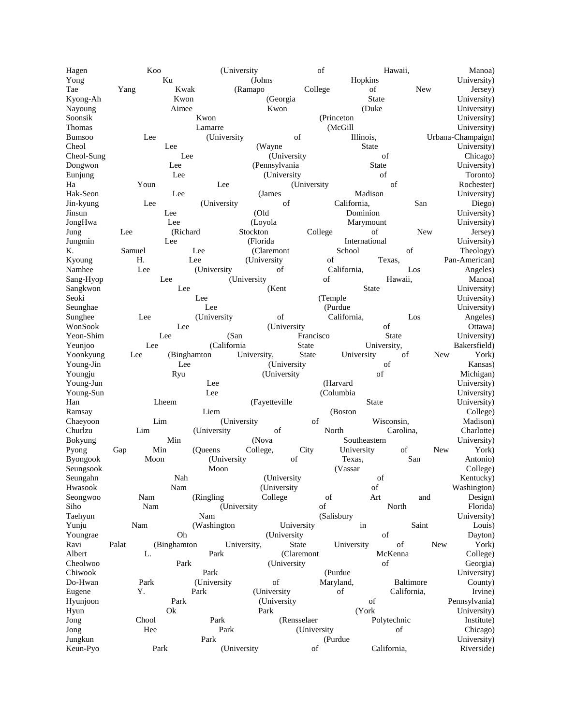Hagen Koo (University of Hawaii, Manoa) Yong Ku (Johns Hopkins Hopkins University) Tae Yang Kwak (Ramapo College of New Jersey) Kyong-Ah Kwon (Georgia State University) Nayoung **Aimee** Kwon (Duke University) Soonsik Kwon Kwon (Princeton University) Thomas Lamarre Communication (McGill University) Bumsoo Lee (University of Illinois, Urbana-Champaign) Cheol Lee (Wayne State University) Cheol-Sung Lee (University of Chicago) Dongwon Lee (Pennsylvania State University) Eunjung Lee (University of Toronto) Ha Youn Lee (University of Rochester) Hak-Seon Lee (James Madison University) Jin-kyung Lee (University of California, San Diego) Jinsun Lee (Old Dominion University) JongHwa Lee (Loyola Marymount University) Jung Lee (Richard Stockton College of New Jersey) Jungmin 1986 Lee (Florida International University) K. Samuel Lee (Claremont School of Theology) Kyoung H. Lee (University of Texas, Pan-American) Namhee Lee (University of California, Los Angeles) Sang-Hyop Lee (University of Hawaii, Manoa) Sangkwon Lee (Kent State University) Seoki Lee (Temple University) Seunghae **Lee** Lee (Purdue University) Sunghee Lee (University of California, Los Angeles) WonSook Lee (University of Ottawa) Yeon-Shim Lee (San Francisco State University) Yeunjoo Lee (California State University, Bakersfield) Yoonkyung Lee (Binghamton University, State University of New York) Young-Jin Lee (University of Kansas) Youngju Ryu (University of Michigan) Young-Jun Christopher (Harvard University) Communication (Harvard University) Young-Sun Lee (Columbia University) Han Lheem (Fayetteville State University) Ramsay College) Liem (Boston College) Chaeyoon Lim (University of Wisconsin, Madison) Churlzu Lim (University of North Carolina, Charlotte) Bokyung Min Min (Nova Southeastern University) Pyong Gap Min (Queens College, City University of New York) Byongook Moon (University of Texas, San Antonio) Seungsook Moon (Vassar College) Seungahn Nah Nah (University of Kentucky) Hwasook Nam (University of Washington) Seongwoo Nam (Ringling College of Art and Design) Siho Nam (University of North Florida) Taehyun Nam (Salisbury University) Yunju Nam (Washington University in Saint Louis) Youngrae **Oh** Oh (University of Dayton) Ravi Palat (Binghamton University, State University of New York) Albert L. Park (Claremont McKenna College) Cheolwoo Park (University of Georgia) Chiwook Park (Purdue University) Do-Hwan Park (University of Maryland, Baltimore County) Eugene Y. Park (University of California, Irvine) Hyunjoon Park (University of Pennsylvania)<br>
Hyun Ok Park (York University) Contract Pennsylvania) Hyun Ok Park (York University) Jong Chool Park (Rensselaer Polytechnic Institute) Jong 1986 Hee Park (University of Chicago) Jungkun Park (Purdue University) Keun-Pyo Park (University of California, Riverside)